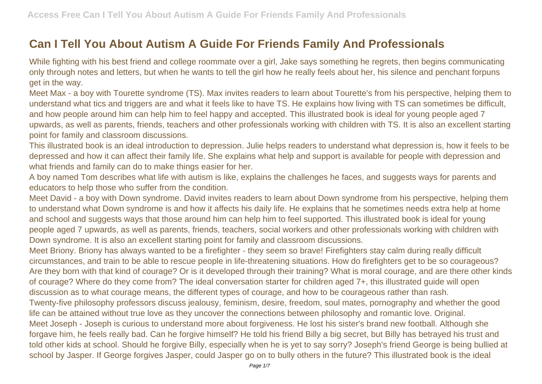## **Can I Tell You About Autism A Guide For Friends Family And Professionals**

While fighting with his best friend and college roommate over a girl, Jake says something he regrets, then begins communicating only through notes and letters, but when he wants to tell the girl how he really feels about her, his silence and penchant forpuns get in the way.

Meet Max - a boy with Tourette syndrome (TS). Max invites readers to learn about Tourette's from his perspective, helping them to understand what tics and triggers are and what it feels like to have TS. He explains how living with TS can sometimes be difficult, and how people around him can help him to feel happy and accepted. This illustrated book is ideal for young people aged 7 upwards, as well as parents, friends, teachers and other professionals working with children with TS. It is also an excellent starting point for family and classroom discussions.

This illustrated book is an ideal introduction to depression. Julie helps readers to understand what depression is, how it feels to be depressed and how it can affect their family life. She explains what help and support is available for people with depression and what friends and family can do to make things easier for her.

A boy named Tom describes what life with autism is like, explains the challenges he faces, and suggests ways for parents and educators to help those who suffer from the condition.

Meet David - a boy with Down syndrome. David invites readers to learn about Down syndrome from his perspective, helping them to understand what Down syndrome is and how it affects his daily life. He explains that he sometimes needs extra help at home and school and suggests ways that those around him can help him to feel supported. This illustrated book is ideal for young people aged 7 upwards, as well as parents, friends, teachers, social workers and other professionals working with children with Down syndrome. It is also an excellent starting point for family and classroom discussions.

Meet Briony. Briony has always wanted to be a firefighter - they seem so brave! Firefighters stay calm during really difficult circumstances, and train to be able to rescue people in life-threatening situations. How do firefighters get to be so courageous? Are they born with that kind of courage? Or is it developed through their training? What is moral courage, and are there other kinds of courage? Where do they come from? The ideal conversation starter for children aged 7+, this illustrated guide will open discussion as to what courage means, the different types of courage, and how to be courageous rather than rash. Twenty-five philosophy professors discuss jealousy, feminism, desire, freedom, soul mates, pornography and whether the good life can be attained without true love as they uncover the connections between philosophy and romantic love. Original. Meet Joseph - Joseph is curious to understand more about forgiveness. He lost his sister's brand new football. Although she forgave him, he feels really bad. Can he forgive himself? He told his friend Billy a big secret, but Billy has betrayed his trust and told other kids at school. Should he forgive Billy, especially when he is yet to say sorry? Joseph's friend George is being bullied at school by Jasper. If George forgives Jasper, could Jasper go on to bully others in the future? This illustrated book is the ideal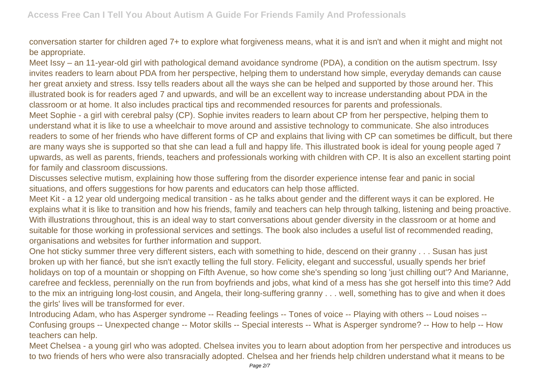conversation starter for children aged 7+ to explore what forgiveness means, what it is and isn't and when it might and might not be appropriate.

Meet Issy – an 11-year-old girl with pathological demand avoidance syndrome (PDA), a condition on the autism spectrum. Issy invites readers to learn about PDA from her perspective, helping them to understand how simple, everyday demands can cause her great anxiety and stress. Issy tells readers about all the ways she can be helped and supported by those around her. This illustrated book is for readers aged 7 and upwards, and will be an excellent way to increase understanding about PDA in the classroom or at home. It also includes practical tips and recommended resources for parents and professionals. Meet Sophie - a girl with cerebral palsy (CP). Sophie invites readers to learn about CP from her perspective, helping them to understand what it is like to use a wheelchair to move around and assistive technology to communicate. She also introduces readers to some of her friends who have different forms of CP and explains that living with CP can sometimes be difficult, but there are many ways she is supported so that she can lead a full and happy life. This illustrated book is ideal for young people aged 7 upwards, as well as parents, friends, teachers and professionals working with children with CP. It is also an excellent starting point for family and classroom discussions.

Discusses selective mutism, explaining how those suffering from the disorder experience intense fear and panic in social situations, and offers suggestions for how parents and educators can help those afflicted.

Meet Kit - a 12 year old undergoing medical transition - as he talks about gender and the different ways it can be explored. He explains what it is like to transition and how his friends, family and teachers can help through talking, listening and being proactive. With illustrations throughout, this is an ideal way to start conversations about gender diversity in the classroom or at home and suitable for those working in professional services and settings. The book also includes a useful list of recommended reading, organisations and websites for further information and support.

One hot sticky summer three very different sisters, each with something to hide, descend on their granny . . . Susan has just broken up with her fiancé, but she isn't exactly telling the full story. Felicity, elegant and successful, usually spends her brief holidays on top of a mountain or shopping on Fifth Avenue, so how come she's spending so long 'just chilling out'? And Marianne, carefree and feckless, perennially on the run from boyfriends and jobs, what kind of a mess has she got herself into this time? Add to the mix an intriguing long-lost cousin, and Angela, their long-suffering granny . . . well, something has to give and when it does the girls' lives will be transformed for ever.

Introducing Adam, who has Asperger syndrome -- Reading feelings -- Tones of voice -- Playing with others -- Loud noises -- Confusing groups -- Unexpected change -- Motor skills -- Special interests -- What is Asperger syndrome? -- How to help -- How teachers can help.

Meet Chelsea - a young girl who was adopted. Chelsea invites you to learn about adoption from her perspective and introduces us to two friends of hers who were also transracially adopted. Chelsea and her friends help children understand what it means to be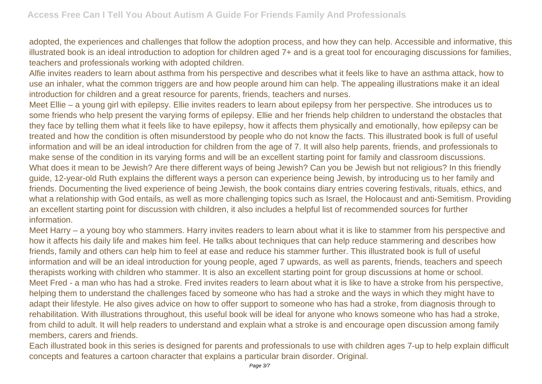adopted, the experiences and challenges that follow the adoption process, and how they can help. Accessible and informative, this illustrated book is an ideal introduction to adoption for children aged 7+ and is a great tool for encouraging discussions for families, teachers and professionals working with adopted children.

Alfie invites readers to learn about asthma from his perspective and describes what it feels like to have an asthma attack, how to use an inhaler, what the common triggers are and how people around him can help. The appealing illustrations make it an ideal introduction for children and a great resource for parents, friends, teachers and nurses.

Meet Ellie – a young girl with epilepsy. Ellie invites readers to learn about epilepsy from her perspective. She introduces us to some friends who help present the varying forms of epilepsy. Ellie and her friends help children to understand the obstacles that they face by telling them what it feels like to have epilepsy, how it affects them physically and emotionally, how epilepsy can be treated and how the condition is often misunderstood by people who do not know the facts. This illustrated book is full of useful information and will be an ideal introduction for children from the age of 7. It will also help parents, friends, and professionals to make sense of the condition in its varying forms and will be an excellent starting point for family and classroom discussions. What does it mean to be Jewish? Are there different ways of being Jewish? Can you be Jewish but not religious? In this friendly guide, 12-year-old Ruth explains the different ways a person can experience being Jewish, by introducing us to her family and friends. Documenting the lived experience of being Jewish, the book contains diary entries covering festivals, rituals, ethics, and what a relationship with God entails, as well as more challenging topics such as Israel, the Holocaust and anti-Semitism. Providing an excellent starting point for discussion with children, it also includes a helpful list of recommended sources for further information.

Meet Harry – a young boy who stammers. Harry invites readers to learn about what it is like to stammer from his perspective and how it affects his daily life and makes him feel. He talks about techniques that can help reduce stammering and describes how friends, family and others can help him to feel at ease and reduce his stammer further. This illustrated book is full of useful information and will be an ideal introduction for young people, aged 7 upwards, as well as parents, friends, teachers and speech therapists working with children who stammer. It is also an excellent starting point for group discussions at home or school. Meet Fred - a man who has had a stroke. Fred invites readers to learn about what it is like to have a stroke from his perspective, helping them to understand the challenges faced by someone who has had a stroke and the ways in which they might have to adapt their lifestyle. He also gives advice on how to offer support to someone who has had a stroke, from diagnosis through to rehabilitation. With illustrations throughout, this useful book will be ideal for anyone who knows someone who has had a stroke, from child to adult. It will help readers to understand and explain what a stroke is and encourage open discussion among family members, carers and friends.

Each illustrated book in this series is designed for parents and professionals to use with children ages 7-up to help explain difficult concepts and features a cartoon character that explains a particular brain disorder. Original.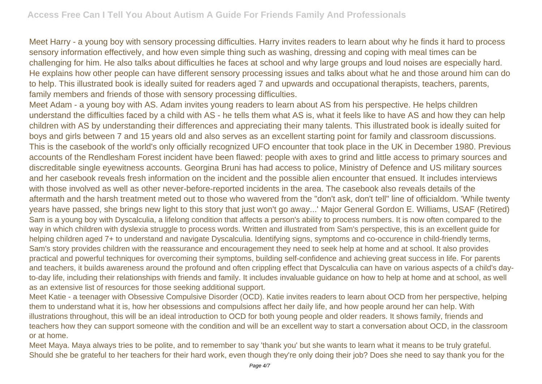Meet Harry - a young boy with sensory processing difficulties. Harry invites readers to learn about why he finds it hard to process sensory information effectively, and how even simple thing such as washing, dressing and coping with meal times can be challenging for him. He also talks about difficulties he faces at school and why large groups and loud noises are especially hard. He explains how other people can have different sensory processing issues and talks about what he and those around him can do to help. This illustrated book is ideally suited for readers aged 7 and upwards and occupational therapists, teachers, parents, family members and friends of those with sensory processing difficulties.

Meet Adam - a young boy with AS. Adam invites young readers to learn about AS from his perspective. He helps children understand the difficulties faced by a child with AS - he tells them what AS is, what it feels like to have AS and how they can help children with AS by understanding their differences and appreciating their many talents. This illustrated book is ideally suited for boys and girls between 7 and 15 years old and also serves as an excellent starting point for family and classroom discussions. This is the casebook of the world's only officially recognized UFO encounter that took place in the UK in December 1980. Previous accounts of the Rendlesham Forest incident have been flawed: people with axes to grind and little access to primary sources and discreditable single eyewitness accounts. Georgina Bruni has had access to police, Ministry of Defence and US military sources and her casebook reveals fresh information on the incident and the possible alien encounter that ensued. It includes interviews with those involved as well as other never-before-reported incidents in the area. The casebook also reveals details of the aftermath and the harsh treatment meted out to those who wavered from the "don't ask, don't tell" line of officialdom. 'While twenty years have passed, she brings new light to this story that just won't go away...' Major General Gordon E. Williams, USAF (Retired) Sam is a young boy with Dyscalculia, a lifelong condition that affects a person's ability to process numbers. It is now often compared to the way in which children with dyslexia struggle to process words. Written and illustrated from Sam's perspective, this is an excellent guide for helping children aged 7+ to understand and navigate Dyscalculia. Identifying signs, symptoms and co-occurence in child-friendly terms, Sam's story provides children with the reassurance and encouragement they need to seek help at home and at school. It also provides practical and powerful techniques for overcoming their symptoms, building self-confidence and achieving great success in life. For parents and teachers, it builds awareness around the profound and often crippling effect that Dyscalculia can have on various aspects of a child's dayto-day life, including their relationships with friends and family. It includes invaluable guidance on how to help at home and at school, as well as an extensive list of resources for those seeking additional support.

Meet Katie - a teenager with Obsessive Compulsive Disorder (OCD). Katie invites readers to learn about OCD from her perspective, helping them to understand what it is, how her obsessions and compulsions affect her daily life, and how people around her can help. With illustrations throughout, this will be an ideal introduction to OCD for both young people and older readers. It shows family, friends and teachers how they can support someone with the condition and will be an excellent way to start a conversation about OCD, in the classroom or at home.

Meet Maya. Maya always tries to be polite, and to remember to say 'thank you' but she wants to learn what it means to be truly grateful. Should she be grateful to her teachers for their hard work, even though they're only doing their job? Does she need to say thank you for the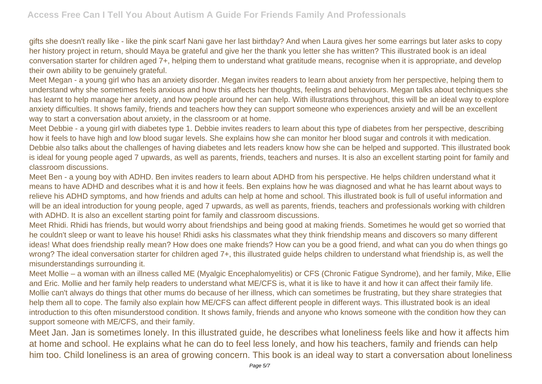gifts she doesn't really like - like the pink scarf Nani gave her last birthday? And when Laura gives her some earrings but later asks to copy her history project in return, should Maya be grateful and give her the thank you letter she has written? This illustrated book is an ideal conversation starter for children aged 7+, helping them to understand what gratitude means, recognise when it is appropriate, and develop their own ability to be genuinely grateful.

Meet Megan - a young girl who has an anxiety disorder. Megan invites readers to learn about anxiety from her perspective, helping them to understand why she sometimes feels anxious and how this affects her thoughts, feelings and behaviours. Megan talks about techniques she has learnt to help manage her anxiety, and how people around her can help. With illustrations throughout, this will be an ideal way to explore anxiety difficulties. It shows family, friends and teachers how they can support someone who experiences anxiety and will be an excellent way to start a conversation about anxiety, in the classroom or at home.

Meet Debbie - a young girl with diabetes type 1. Debbie invites readers to learn about this type of diabetes from her perspective, describing how it feels to have high and low blood sugar levels. She explains how she can monitor her blood sugar and controls it with medication. Debbie also talks about the challenges of having diabetes and lets readers know how she can be helped and supported. This illustrated book is ideal for young people aged 7 upwards, as well as parents, friends, teachers and nurses. It is also an excellent starting point for family and classroom discussions.

Meet Ben - a young boy with ADHD. Ben invites readers to learn about ADHD from his perspective. He helps children understand what it means to have ADHD and describes what it is and how it feels. Ben explains how he was diagnosed and what he has learnt about ways to relieve his ADHD symptoms, and how friends and adults can help at home and school. This illustrated book is full of useful information and will be an ideal introduction for young people, aged 7 upwards, as well as parents, friends, teachers and professionals working with children with ADHD. It is also an excellent starting point for family and classroom discussions.

Meet Rhidi. Rhidi has friends, but would worry about friendships and being good at making friends. Sometimes he would get so worried that he couldn't sleep or want to leave his house! Rhidi asks his classmates what they think friendship means and discovers so many different ideas! What does friendship really mean? How does one make friends? How can you be a good friend, and what can you do when things go wrong? The ideal conversation starter for children aged 7+, this illustrated guide helps children to understand what friendship is, as well the misunderstandings surrounding it.

Meet Mollie – a woman with an illness called ME (Myalgic Encephalomyelitis) or CFS (Chronic Fatigue Syndrome), and her family, Mike, Ellie and Eric. Mollie and her family help readers to understand what ME/CFS is, what it is like to have it and how it can affect their family life. Mollie can't always do things that other mums do because of her illness, which can sometimes be frustrating, but they share strategies that help them all to cope. The family also explain how ME/CFS can affect different people in different ways. This illustrated book is an ideal introduction to this often misunderstood condition. It shows family, friends and anyone who knows someone with the condition how they can support someone with ME/CFS, and their family.

Meet Jan. Jan is sometimes lonely. In this illustrated guide, he describes what loneliness feels like and how it affects him at home and school. He explains what he can do to feel less lonely, and how his teachers, family and friends can help him too. Child loneliness is an area of growing concern. This book is an ideal way to start a conversation about loneliness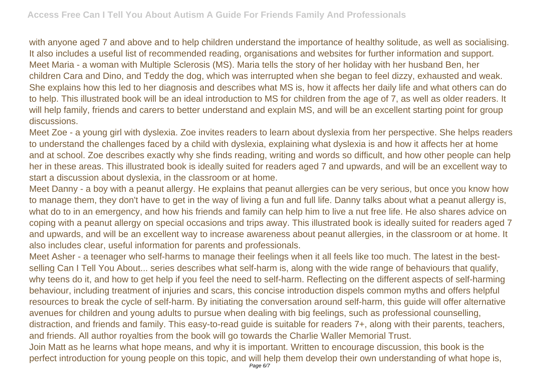with anyone aged 7 and above and to help children understand the importance of healthy solitude, as well as socialising. It also includes a useful list of recommended reading, organisations and websites for further information and support. Meet Maria - a woman with Multiple Sclerosis (MS). Maria tells the story of her holiday with her husband Ben, her children Cara and Dino, and Teddy the dog, which was interrupted when she began to feel dizzy, exhausted and weak. She explains how this led to her diagnosis and describes what MS is, how it affects her daily life and what others can do to help. This illustrated book will be an ideal introduction to MS for children from the age of 7, as well as older readers. It will help family, friends and carers to better understand and explain MS, and will be an excellent starting point for group discussions.

Meet Zoe - a young girl with dyslexia. Zoe invites readers to learn about dyslexia from her perspective. She helps readers to understand the challenges faced by a child with dyslexia, explaining what dyslexia is and how it affects her at home and at school. Zoe describes exactly why she finds reading, writing and words so difficult, and how other people can help her in these areas. This illustrated book is ideally suited for readers aged 7 and upwards, and will be an excellent way to start a discussion about dyslexia, in the classroom or at home.

Meet Danny - a boy with a peanut allergy. He explains that peanut allergies can be very serious, but once you know how to manage them, they don't have to get in the way of living a fun and full life. Danny talks about what a peanut allergy is, what do to in an emergency, and how his friends and family can help him to live a nut free life. He also shares advice on coping with a peanut allergy on special occasions and trips away. This illustrated book is ideally suited for readers aged 7 and upwards, and will be an excellent way to increase awareness about peanut allergies, in the classroom or at home. It also includes clear, useful information for parents and professionals.

Meet Asher - a teenager who self-harms to manage their feelings when it all feels like too much. The latest in the bestselling Can I Tell You About... series describes what self-harm is, along with the wide range of behaviours that qualify, why teens do it, and how to get help if you feel the need to self-harm. Reflecting on the different aspects of self-harming behaviour, including treatment of injuries and scars, this concise introduction dispels common myths and offers helpful resources to break the cycle of self-harm. By initiating the conversation around self-harm, this guide will offer alternative avenues for children and young adults to pursue when dealing with big feelings, such as professional counselling, distraction, and friends and family. This easy-to-read guide is suitable for readers 7+, along with their parents, teachers, and friends. All author royalties from the book will go towards the Charlie Waller Memorial Trust. Join Matt as he learns what hope means, and why it is important. Written to encourage discussion, this book is the perfect introduction for young people on this topic, and will help them develop their own understanding of what hope is,